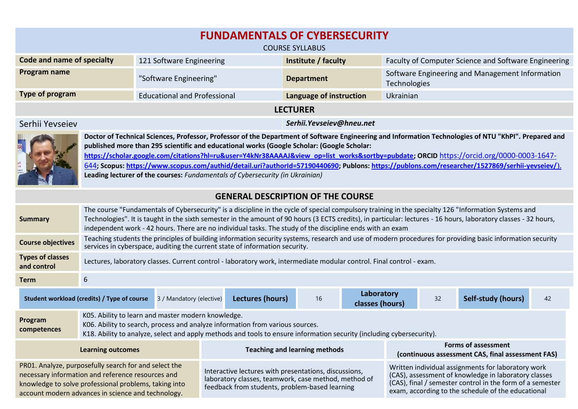| <b>FUNDAMENTALS OF CYBERSECURITY</b><br><b>COURSE SYLLABUS</b>                                                                                                                                                            |                                                                                                                                                                                                                                                                                                                                                                                                                                                                                                                                                                                                                                   |                                     |                                                                                                                                                                                                                                                                                                                                                                                                  |                                                                                 |  |                                                                 |  |                    |    |
|---------------------------------------------------------------------------------------------------------------------------------------------------------------------------------------------------------------------------|-----------------------------------------------------------------------------------------------------------------------------------------------------------------------------------------------------------------------------------------------------------------------------------------------------------------------------------------------------------------------------------------------------------------------------------------------------------------------------------------------------------------------------------------------------------------------------------------------------------------------------------|-------------------------------------|--------------------------------------------------------------------------------------------------------------------------------------------------------------------------------------------------------------------------------------------------------------------------------------------------------------------------------------------------------------------------------------------------|---------------------------------------------------------------------------------|--|-----------------------------------------------------------------|--|--------------------|----|
| Code and name of specialty                                                                                                                                                                                                |                                                                                                                                                                                                                                                                                                                                                                                                                                                                                                                                                                                                                                   | 121 Software Engineering            |                                                                                                                                                                                                                                                                                                                                                                                                  | Institute / faculty                                                             |  | Faculty of Computer Science and Software Engineering            |  |                    |    |
| Program name                                                                                                                                                                                                              |                                                                                                                                                                                                                                                                                                                                                                                                                                                                                                                                                                                                                                   | "Software Engineering"              |                                                                                                                                                                                                                                                                                                                                                                                                  | <b>Department</b>                                                               |  | Software Engineering and Management Information<br>Technologies |  |                    |    |
| Type of program                                                                                                                                                                                                           |                                                                                                                                                                                                                                                                                                                                                                                                                                                                                                                                                                                                                                   | <b>Educational and Professional</b> |                                                                                                                                                                                                                                                                                                                                                                                                  | Language of instruction                                                         |  | Ukrainian                                                       |  |                    |    |
| <b>LECTURER</b>                                                                                                                                                                                                           |                                                                                                                                                                                                                                                                                                                                                                                                                                                                                                                                                                                                                                   |                                     |                                                                                                                                                                                                                                                                                                                                                                                                  |                                                                                 |  |                                                                 |  |                    |    |
| Serhii Yevseiev                                                                                                                                                                                                           |                                                                                                                                                                                                                                                                                                                                                                                                                                                                                                                                                                                                                                   |                                     | Serhii. Yevseiev@hneu.net                                                                                                                                                                                                                                                                                                                                                                        |                                                                                 |  |                                                                 |  |                    |    |
|                                                                                                                                                                                                                           | Doctor of Technical Sciences, Professor, Professor of the Department of Software Engineering and Information Technologies of NTU "KhPI". Prepared and<br>published more than 295 scientific and educational works (Google Scholar: (Google Scholar:<br>https://scholar.google.com/citations?hl=ru&user=Y4kNr38AAAAJ&view_op=list_works&sortby=pubdate; ORCID_https://orcid.org/0000-0003-1647-<br>644; Scopus: https://www.scopus.com/authid/detail.uri?authorId=57190440690; Publons: https://publons.com/researcher/1527869/serhii-yevseiev/).<br>Leading lecturer of the courses: Fundamentals of Cybersecurity (in Ukrainian) |                                     |                                                                                                                                                                                                                                                                                                                                                                                                  |                                                                                 |  |                                                                 |  |                    |    |
| <b>GENERAL DESCRIPTION OF THE COURSE</b>                                                                                                                                                                                  |                                                                                                                                                                                                                                                                                                                                                                                                                                                                                                                                                                                                                                   |                                     |                                                                                                                                                                                                                                                                                                                                                                                                  |                                                                                 |  |                                                                 |  |                    |    |
| <b>Summary</b>                                                                                                                                                                                                            | The course "Fundamentals of Cybersecurity" is a discipline in the cycle of special compulsory training in the specialty 126 "Information Systems and<br>Technologies". It is taught in the sixth semester in the amount of 90 hours (3 ECTS credits), in particular: lectures - 16 hours, laboratory classes - 32 hours,<br>independent work - 42 hours. There are no individual tasks. The study of the discipline ends with an exam                                                                                                                                                                                             |                                     |                                                                                                                                                                                                                                                                                                                                                                                                  |                                                                                 |  |                                                                 |  |                    |    |
| <b>Course objectives</b>                                                                                                                                                                                                  | Teaching students the principles of building information security systems, research and use of modern procedures for providing basic information security<br>services in cyberspace, auditing the current state of information security.                                                                                                                                                                                                                                                                                                                                                                                          |                                     |                                                                                                                                                                                                                                                                                                                                                                                                  |                                                                                 |  |                                                                 |  |                    |    |
| <b>Types of classes</b><br>and control                                                                                                                                                                                    | Lectures, laboratory classes. Current control - laboratory work, intermediate modular control. Final control - exam.                                                                                                                                                                                                                                                                                                                                                                                                                                                                                                              |                                     |                                                                                                                                                                                                                                                                                                                                                                                                  |                                                                                 |  |                                                                 |  |                    |    |
| <b>Term</b>                                                                                                                                                                                                               | $6\phantom{1}6$                                                                                                                                                                                                                                                                                                                                                                                                                                                                                                                                                                                                                   |                                     |                                                                                                                                                                                                                                                                                                                                                                                                  |                                                                                 |  |                                                                 |  |                    |    |
| Student workload (credits) / Type of course                                                                                                                                                                               |                                                                                                                                                                                                                                                                                                                                                                                                                                                                                                                                                                                                                                   | 3 / Mandatory (elective)            | <b>Lectures (hours)</b>                                                                                                                                                                                                                                                                                                                                                                          | 16                                                                              |  | Laboratory<br>classes (hours)                                   |  | Self-study (hours) | 42 |
| Program<br>competences                                                                                                                                                                                                    | K05. Ability to learn and master modern knowledge.<br>K06. Ability to search, process and analyze information from various sources.<br>K18. Ability to analyze, select and apply methods and tools to ensure information security (including cybersecurity).                                                                                                                                                                                                                                                                                                                                                                      |                                     |                                                                                                                                                                                                                                                                                                                                                                                                  |                                                                                 |  |                                                                 |  |                    |    |
| <b>Learning outcomes</b>                                                                                                                                                                                                  |                                                                                                                                                                                                                                                                                                                                                                                                                                                                                                                                                                                                                                   |                                     | <b>Teaching and learning methods</b>                                                                                                                                                                                                                                                                                                                                                             | <b>Forms of assessment</b><br>(continuous assessment CAS, final assessment FAS) |  |                                                                 |  |                    |    |
| PR01. Analyze, purposefully search for and select the<br>necessary information and reference resources and<br>knowledge to solve professional problems, taking into<br>account modern advances in science and technology. |                                                                                                                                                                                                                                                                                                                                                                                                                                                                                                                                                                                                                                   |                                     | Written individual assignments for laboratory work<br>Interactive lectures with presentations, discussions,<br>(CAS), assessment of knowledge in laboratory classes<br>laboratory classes, teamwork, case method, method of<br>(CAS), final / semester control in the form of a semester<br>feedback from students, problem-based learning<br>exam, according to the schedule of the educational |                                                                                 |  |                                                                 |  |                    |    |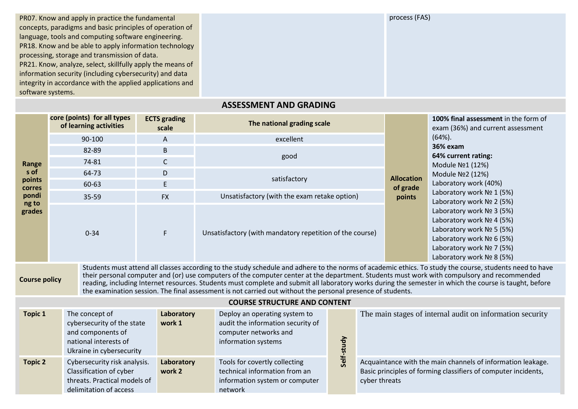PR07. Know and apply in practice the fundamental concepts, paradigms and basic principles of operation of language, tools and computing software engineering. PR18. Know and be able to apply information technology processing, storage and transmission of data. PR21. Know, analyze, select, skillfully apply the means of information security (including cybersecurity) and data integrity in accordance with the applied applications and software systems.

process (FAS)

## **Range s of points corres pondi ng to grades Total score (points) for all types of learning activities ЕСТS grading s** grading<br>scale **The national grading scale Allocation of grade points 100% final assessment** in the form of exam (36%) and current assessment (64%). **36% exam 64% current rating:** Module №1 (12%) Module №2 (12%) Laboratory work (40%) Laboratory work Nº 1 (5%) Laboratory work № 2 (5%) Laboratory work № 3 (5%) Laboratory work № 4 (5%) Laboratory work № 5 (5%) Laboratory work № 6 (5%) Laboratory work № 7 (5%) Laboratory work № 8 (5%) 90-100 А excellent 82-89 В good 74-81 С 64-73 D satisfactory 60-63 Е 35-59 FХ Unsatisfactory (with the exam retake option) 0-34 **F** F Unsatisfactory (with mandatory repetition of the course)

**ASSESSMENT AND GRADING**

**Course policy** Students must attend all classes according to the study schedule and adhere to the norms of academic ethics. To study the course, students need to have their personal computer and (or) use computers of the computer center at the department. Students must work with compulsory and recommended reading, including Internet resources. Students must complete and submit all laboratory works during the semester in which the course is taught, before the examination session. The final assessment is not carried out without the personal presence of students.

## **COURSE STRUCTURE AND CONTENT**

| <b>Topic 1</b> | The concept of<br>cybersecurity of the state<br>and components of<br>national interests of<br>Ukraine in cybersecurity | Laboratory<br>work 1 | Deploy an operating system to<br>audit the information security of<br>computer networks and<br>information systems |    | The main stages of internal audit on information security                                                                                      |
|----------------|------------------------------------------------------------------------------------------------------------------------|----------------------|--------------------------------------------------------------------------------------------------------------------|----|------------------------------------------------------------------------------------------------------------------------------------------------|
| <b>Topic 2</b> | Cybersecurity risk analysis.<br>Classification of cyber<br>threats. Practical models of<br>delimitation of access      | Laboratory<br>work 2 | Tools for covertly collecting<br>technical information from an<br>information system or computer<br>network        | မိ | Acquaintance with the main channels of information leakage.<br>Basic principles of forming classifiers of computer incidents,<br>cyber threats |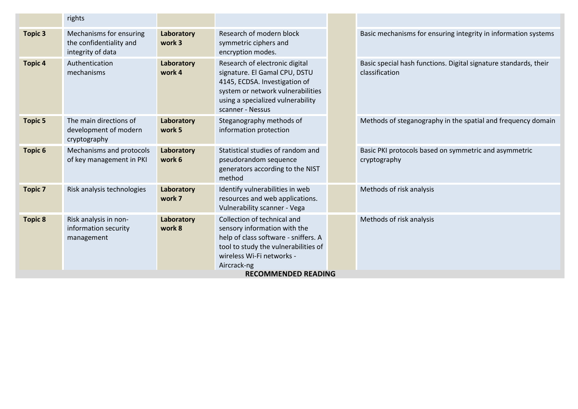|                | rights                                                                  |                      |                                                                                                                                                                                                                       |                                                                                    |
|----------------|-------------------------------------------------------------------------|----------------------|-----------------------------------------------------------------------------------------------------------------------------------------------------------------------------------------------------------------------|------------------------------------------------------------------------------------|
| <b>Topic 3</b> | Mechanisms for ensuring<br>the confidentiality and<br>integrity of data | Laboratory<br>work 3 | Research of modern block<br>symmetric ciphers and<br>encryption modes.                                                                                                                                                | Basic mechanisms for ensuring integrity in information systems                     |
| <b>Topic 4</b> | Authentication<br>mechanisms                                            | Laboratory<br>work 4 | Research of electronic digital<br>signature. El Gamal CPU, DSTU<br>4145, ECDSA. Investigation of<br>system or network vulnerabilities<br>using a specialized vulnerability<br>scanner - Nessus                        | Basic special hash functions. Digital signature standards, their<br>classification |
| <b>Topic 5</b> | The main directions of<br>development of modern<br>cryptography         | Laboratory<br>work 5 | Steganography methods of<br>information protection                                                                                                                                                                    | Methods of steganography in the spatial and frequency domain                       |
| <b>Topic 6</b> | Mechanisms and protocols<br>of key management in PKI                    | Laboratory<br>work 6 | Statistical studies of random and<br>pseudorandom sequence<br>generators according to the NIST<br>method                                                                                                              | Basic PKI protocols based on symmetric and asymmetric<br>cryptography              |
| <b>Topic 7</b> | Risk analysis technologies                                              | Laboratory<br>work 7 | Identify vulnerabilities in web<br>resources and web applications.<br>Vulnerability scanner - Vega                                                                                                                    | Methods of risk analysis                                                           |
| <b>Topic 8</b> | Risk analysis in non-<br>information security<br>management             | Laboratory<br>work 8 | Collection of technical and<br>sensory information with the<br>help of class software - sniffers. A<br>tool to study the vulnerabilities of<br>wireless Wi-Fi networks -<br>Aircrack-ng<br><b>RECOMMENDED READING</b> | Methods of risk analysis                                                           |